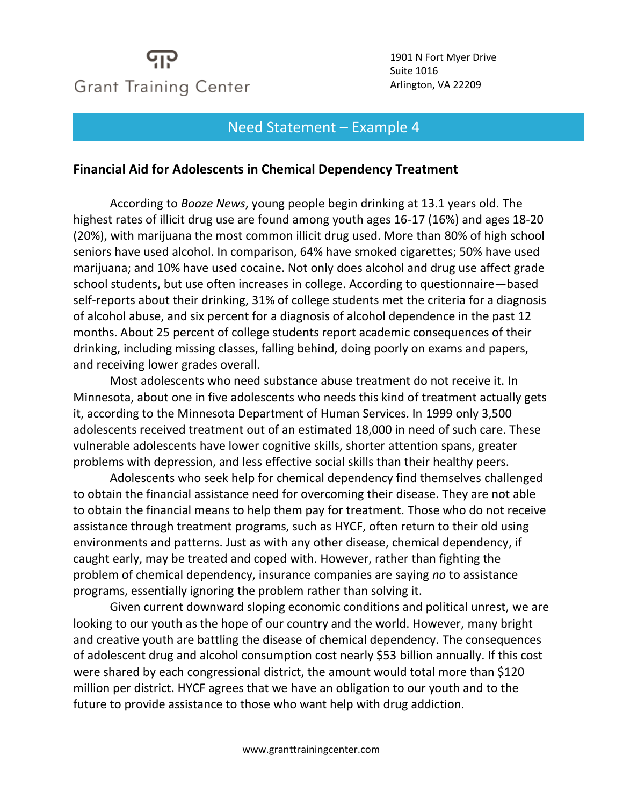## **Grant Training Center**

1901 N Fort Myer Drive Suite 1016 Arlington, VA 22209

## Need Statement – Example 4

## **Financial Aid for Adolescents in Chemical Dependency Treatment**

According to *Booze News*, young people begin drinking at 13.1 years old. The highest rates of illicit drug use are found among youth ages 16-17 (16%) and ages 18-20 (20%), with marijuana the most common illicit drug used. More than 80% of high school seniors have used alcohol. In comparison, 64% have smoked cigarettes; 50% have used marijuana; and 10% have used cocaine. Not only does alcohol and drug use affect grade school students, but use often increases in college. According to questionnaire—based self-reports about their drinking, 31% of college students met the criteria for a diagnosis of alcohol abuse, and six percent for a diagnosis of alcohol dependence in the past 12 months. About 25 percent of college students report academic consequences of their drinking, including missing classes, falling behind, doing poorly on exams and papers, and receiving lower grades overall.

Most adolescents who need substance abuse treatment do not receive it. In Minnesota, about one in five adolescents who needs this kind of treatment actually gets it, according to the Minnesota Department of Human Services. In 1999 only 3,500 adolescents received treatment out of an estimated 18,000 in need of such care. These vulnerable adolescents have lower cognitive skills, shorter attention spans, greater problems with depression, and less effective social skills than their healthy peers.

Adolescents who seek help for chemical dependency find themselves challenged to obtain the financial assistance need for overcoming their disease. They are not able to obtain the financial means to help them pay for treatment. Those who do not receive assistance through treatment programs, such as HYCF, often return to their old using environments and patterns. Just as with any other disease, chemical dependency, if caught early, may be treated and coped with. However, rather than fighting the problem of chemical dependency, insurance companies are saying *no* to assistance programs, essentially ignoring the problem rather than solving it.

Given current downward sloping economic conditions and political unrest, we are looking to our youth as the hope of our country and the world. However, many bright and creative youth are battling the disease of chemical dependency. The consequences of adolescent drug and alcohol consumption cost nearly \$53 billion annually. If this cost were shared by each congressional district, the amount would total more than \$120 million per district. HYCF agrees that we have an obligation to our youth and to the future to provide assistance to those who want help with drug addiction.